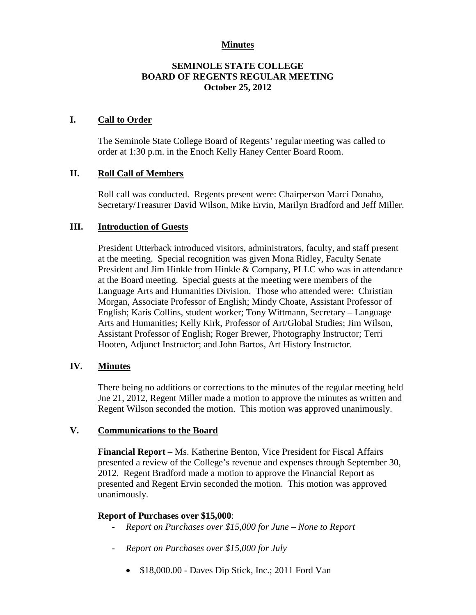# **Minutes**

# **SEMINOLE STATE COLLEGE BOARD OF REGENTS REGULAR MEETING October 25, 2012**

### **I. Call to Order**

The Seminole State College Board of Regents' regular meeting was called to order at 1:30 p.m. in the Enoch Kelly Haney Center Board Room.

# **II. Roll Call of Members**

Roll call was conducted. Regents present were: Chairperson Marci Donaho, Secretary/Treasurer David Wilson, Mike Ervin, Marilyn Bradford and Jeff Miller.

# **III. Introduction of Guests**

President Utterback introduced visitors, administrators, faculty, and staff present at the meeting. Special recognition was given Mona Ridley, Faculty Senate President and Jim Hinkle from Hinkle & Company, PLLC who was in attendance at the Board meeting. Special guests at the meeting were members of the Language Arts and Humanities Division. Those who attended were: Christian Morgan, Associate Professor of English; Mindy Choate, Assistant Professor of English; Karis Collins, student worker; Tony Wittmann, Secretary – Language Arts and Humanities; Kelly Kirk, Professor of Art/Global Studies; Jim Wilson, Assistant Professor of English; Roger Brewer, Photography Instructor; Terri Hooten, Adjunct Instructor; and John Bartos, Art History Instructor.

### **IV. Minutes**

There being no additions or corrections to the minutes of the regular meeting held Jne 21, 2012, Regent Miller made a motion to approve the minutes as written and Regent Wilson seconded the motion. This motion was approved unanimously.

### **V. Communications to the Board**

**Financial Report** – Ms. Katherine Benton, Vice President for Fiscal Affairs presented a review of the College's revenue and expenses through September 30, 2012. Regent Bradford made a motion to approve the Financial Report as presented and Regent Ervin seconded the motion. This motion was approved unanimously.

### **Report of Purchases over \$15,000**:

- *Report on Purchases over \$15,000 for June – None to Report*
- *Report on Purchases over \$15,000 for July*
	- \$18,000.00 Daves Dip Stick, Inc.; 2011 Ford Van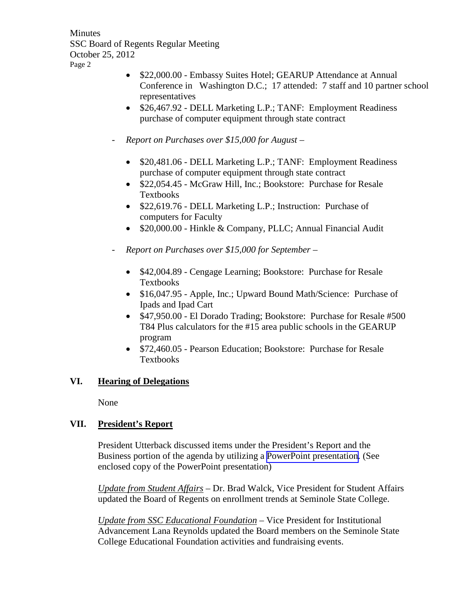- \$22,000.00 Embassy Suites Hotel; GEARUP Attendance at Annual Conference in Washington D.C.; 17 attended: 7 staff and 10 partner school representatives
- \$26,467.92 DELL Marketing L.P.; TANF: Employment Readiness purchase of computer equipment through state contract
- *Report on Purchases over \$15,000 for August –*
	- \$20,481.06 DELL Marketing L.P.; TANF: Employment Readiness purchase of computer equipment through state contract
	- \$22,054.45 McGraw Hill, Inc.; Bookstore: Purchase for Resale Textbooks
	- \$22,619.76 DELL Marketing L.P.; Instruction: Purchase of computers for Faculty
	- \$20,000.00 Hinkle & Company, PLLC; Annual Financial Audit
- *Report on Purchases over \$15,000 for September –*
	- \$42,004.89 Cengage Learning; Bookstore: Purchase for Resale Textbooks
	- \$16,047.95 Apple, Inc.; Upward Bound Math/Science: Purchase of Ipads and Ipad Cart
	- \$47,950.00 El Dorado Trading; Bookstore: Purchase for Resale #500 T84 Plus calculators for the #15 area public schools in the GEARUP program
	- \$72,460.05 Pearson Education; Bookstore: Purchase for Resale Textbooks

# **VI. Hearing of Delegations**

None

# **VII. President's Report**

President Utterback discussed items under the President's Report and the Business portion of the agenda by utilizing a PowerPoint presentation. (See enclosed copy of the PowerPoint presentation)

*Update from Student Affairs* – Dr. Brad Walck, Vice President for Student Affairs updated the Board of Regents on enrollment trends at Seminole State College.

*Update from SSC Educational Foundation –* Vice President for Institutional Advancement Lana Reynolds updated the Board members on the Seminole State College Educational Foundation activities and fundraising events.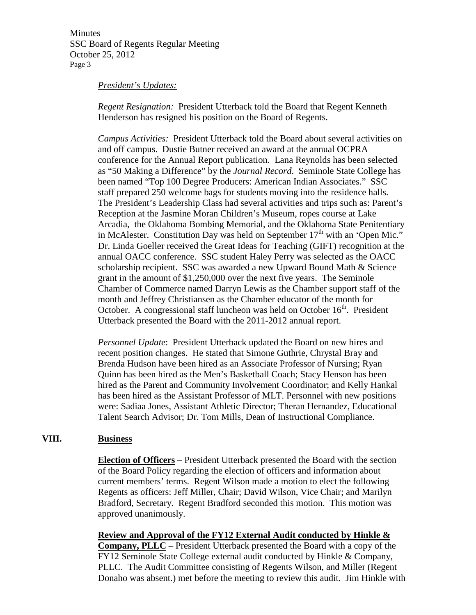#### *President's Updates:*

*Regent Resignation:* President Utterback told the Board that Regent Kenneth Henderson has resigned his position on the Board of Regents.

*Campus Activities:* President Utterback told the Board about several activities on and off campus. Dustie Butner received an award at the annual OCPRA conference for the Annual Report publication. Lana Reynolds has been selected as "50 Making a Difference" by the *Journal Record*. Seminole State College has been named "Top 100 Degree Producers: American Indian Associates." SSC staff prepared 250 welcome bags for students moving into the residence halls. The President's Leadership Class had several activities and trips such as: Parent's Reception at the Jasmine Moran Children's Museum, ropes course at Lake Arcadia, the Oklahoma Bombing Memorial, and the Oklahoma State Penitentiary in McAlester. Constitution Day was held on September  $17<sup>th</sup>$  with an 'Open Mic." Dr. Linda Goeller received the Great Ideas for Teaching (GIFT) recognition at the annual OACC conference. SSC student Haley Perry was selected as the OACC scholarship recipient. SSC was awarded a new Upward Bound Math & Science grant in the amount of \$1,250,000 over the next five years. The Seminole Chamber of Commerce named Darryn Lewis as the Chamber support staff of the month and Jeffrey Christiansen as the Chamber educator of the month for October. A congressional staff luncheon was held on October  $16<sup>th</sup>$ . President Utterback presented the Board with the 2011-2012 annual report.

*Personnel Update*: President Utterback updated the Board on new hires and recent position changes. He stated that Simone Guthrie, Chrystal Bray and Brenda Hudson have been hired as an Associate Professor of Nursing; Ryan Quinn has been hired as the Men's Basketball Coach; Stacy Henson has been hired as the Parent and Community Involvement Coordinator; and Kelly Hankal has been hired as the Assistant Professor of MLT. Personnel with new positions were: Sadiaa Jones, Assistant Athletic Director; Theran Hernandez, Educational Talent Search Advisor; Dr. Tom Mills, Dean of Instructional Compliance.

### **VIII. Business**

**Election of Officers** – President Utterback presented the Board with the section of the Board Policy regarding the election of officers and information about current members' terms. Regent Wilson made a motion to elect the following Regents as officers: Jeff Miller, Chair; David Wilson, Vice Chair; and Marilyn Bradford, Secretary. Regent Bradford seconded this motion. This motion was approved unanimously.

**Review and Approval of the FY12 External Audit conducted by Hinkle & Company, PLLC** – President Utterback presented the Board with a copy of the FY12 Seminole State College external audit conducted by Hinkle & Company, PLLC. The Audit Committee consisting of Regents Wilson, and Miller (Regent Donaho was absent.) met before the meeting to review this audit. Jim Hinkle with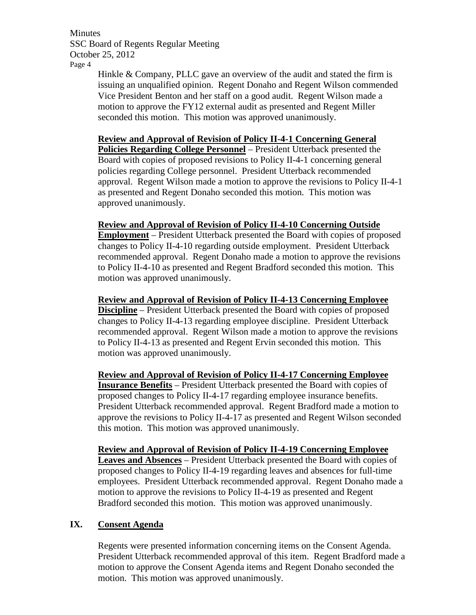> Hinkle & Company, PLLC gave an overview of the audit and stated the firm is issuing an unqualified opinion. Regent Donaho and Regent Wilson commended Vice President Benton and her staff on a good audit. Regent Wilson made a motion to approve the FY12 external audit as presented and Regent Miller seconded this motion. This motion was approved unanimously.

### **Review and Approval of Revision of Policy II-4-1 Concerning General**

**Policies Regarding College Personnel** – President Utterback presented the Board with copies of proposed revisions to Policy II-4-1 concerning general policies regarding College personnel. President Utterback recommended approval. Regent Wilson made a motion to approve the revisions to Policy II-4-1 as presented and Regent Donaho seconded this motion. This motion was approved unanimously.

### **Review and Approval of Revision of Policy II-4-10 Concerning Outside**

**Employment** – President Utterback presented the Board with copies of proposed changes to Policy II-4-10 regarding outside employment. President Utterback recommended approval. Regent Donaho made a motion to approve the revisions to Policy II-4-10 as presented and Regent Bradford seconded this motion. This motion was approved unanimously.

**Review and Approval of Revision of Policy II-4-13 Concerning Employee Discipline** – President Utterback presented the Board with copies of proposed changes to Policy II-4-13 regarding employee discipline. President Utterback recommended approval. Regent Wilson made a motion to approve the revisions to Policy II-4-13 as presented and Regent Ervin seconded this motion. This motion was approved unanimously.

**Review and Approval of Revision of Policy II-4-17 Concerning Employee Insurance Benefits** – President Utterback presented the Board with copies of proposed changes to Policy II-4-17 regarding employee insurance benefits. President Utterback recommended approval. Regent Bradford made a motion to approve the revisions to Policy II-4-17 as presented and Regent Wilson seconded this motion. This motion was approved unanimously.

**Review and Approval of Revision of Policy II-4-19 Concerning Employee Leaves and Absences** – President Utterback presented the Board with copies of proposed changes to Policy II-4-19 regarding leaves and absences for full-time employees. President Utterback recommended approval. Regent Donaho made a motion to approve the revisions to Policy II-4-19 as presented and Regent Bradford seconded this motion. This motion was approved unanimously.

# **IX. Consent Agenda**

Regents were presented information concerning items on the Consent Agenda. President Utterback recommended approval of this item. Regent Bradford made a motion to approve the Consent Agenda items and Regent Donaho seconded the motion. This motion was approved unanimously.